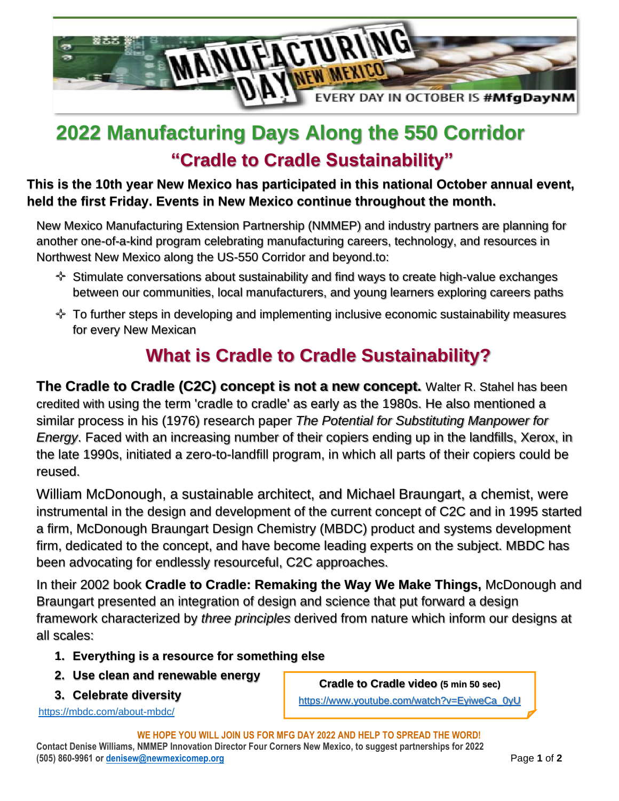

# **2022 Manufacturing Days Along the 550 Corridor "Cradle to Cradle Sustainability"**

**This is the 10th year New Mexico has participated in this national October annual event, held the first Friday. Events in New Mexico continue throughout the month.**

New Mexico Manufacturing Extension Partnership (NMMEP) and industry partners are planning for another one-of-a-kind program celebrating manufacturing careers, technology, and resources in Northwest New Mexico along the US-550 Corridor and beyond.to:

- Stimulate conversations about sustainability and find ways to create high-value exchanges between our communities, local manufacturers, and young learners exploring careers paths
- $\div$  To further steps in developing and implementing inclusive economic sustainability measures for every New Mexican

## **What is Cradle to Cradle Sustainability?**

**The Cradle to Cradle (C2C) concept is not a new concept.** Walter R. Stahel has been credited with using the term 'cradle to cradle' as early as the 1980s. He also mentioned a similar process in his (1976) research paper *The Potential for Substituting Manpower for Energy*. Faced with an increasing number of their copiers ending up in the landfills, Xerox, in the late 1990s, initiated a zero-to-landfill program, in which all parts of their copiers could be reused.

William McDonough, a sustainable architect, and Michael Braungart, a chemist, were instrumental in the design and development of the current concept of C2C and in 1995 started a firm, McDonough Braungart Design Chemistry (MBDC) product and systems development firm, dedicated to the concept, and have become leading experts on the subject. MBDC has been advocating for endlessly resourceful, C2C approaches.

In their 2002 book **Cradle to Cradle: Remaking the Way We Make Things,** McDonough and Braungart presented an integration of design and science that put forward a design framework characterized by *three principles* derived from nature which inform our designs at all scales:

- **1. Everything is a resource for something else**
- **2. Use clean and renewable energy**
- **3. Celebrate diversity**

<https://mbdc.com/about-mbdc/>

**Cradle to Cradle video (5 min 50 sec)** [https://www.youtube.com/watch?v=EyiweCa\\_0yU](https://www.youtube.com/watch?v=EyiweCa_0yU)

**WE HOPE YOU WILL JOIN US FOR MFG DAY 2022 AND HELP TO SPREAD THE WORD! Contact Denise Williams, NMMEP Innovation Director Four Corners New Mexico, to suggest partnerships for 2022 (505) 860-9961 or [denisew@newmexicomep.org](mailto:denisew@newmexicomep.org)** Page **1** of **2**